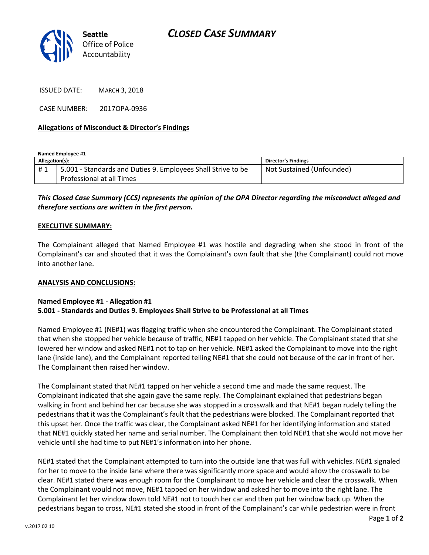

ISSUED DATE: MARCH 3, 2018

CASE NUMBER: 2017OPA-0936

### **Allegations of Misconduct & Director's Findings**

**Named Employee #1 Allegation(s): Director's Findings** # 1 | 5.001 - Standards and Duties 9. Employees Shall Strive to be Professional at all Times Not Sustained (Unfounded)

# *This Closed Case Summary (CCS) represents the opinion of the OPA Director regarding the misconduct alleged and therefore sections are written in the first person.*

#### **EXECUTIVE SUMMARY:**

The Complainant alleged that Named Employee #1 was hostile and degrading when she stood in front of the Complainant's car and shouted that it was the Complainant's own fault that she (the Complainant) could not move into another lane.

#### **ANALYSIS AND CONCLUSIONS:**

#### **Named Employee #1 - Allegation #1**

## **5.001 - Standards and Duties 9. Employees Shall Strive to be Professional at all Times**

Named Employee #1 (NE#1) was flagging traffic when she encountered the Complainant. The Complainant stated that when she stopped her vehicle because of traffic, NE#1 tapped on her vehicle. The Complainant stated that she lowered her window and asked NE#1 not to tap on her vehicle. NE#1 asked the Complainant to move into the right lane (inside lane), and the Complainant reported telling NE#1 that she could not because of the car in front of her. The Complainant then raised her window.

The Complainant stated that NE#1 tapped on her vehicle a second time and made the same request. The Complainant indicated that she again gave the same reply. The Complainant explained that pedestrians began walking in front and behind her car because she was stopped in a crosswalk and that NE#1 began rudely telling the pedestrians that it was the Complainant's fault that the pedestrians were blocked. The Complainant reported that this upset her. Once the traffic was clear, the Complainant asked NE#1 for her identifying information and stated that NE#1 quickly stated her name and serial number. The Complainant then told NE#1 that she would not move her vehicle until she had time to put NE#1's information into her phone.

NE#1 stated that the Complainant attempted to turn into the outside lane that was full with vehicles. NE#1 signaled for her to move to the inside lane where there was significantly more space and would allow the crosswalk to be clear. NE#1 stated there was enough room for the Complainant to move her vehicle and clear the crosswalk. When the Complainant would not move, NE#1 tapped on her window and asked her to move into the right lane. The Complainant let her window down told NE#1 not to touch her car and then put her window back up. When the pedestrians began to cross, NE#1 stated she stood in front of the Complainant's car while pedestrian were in front